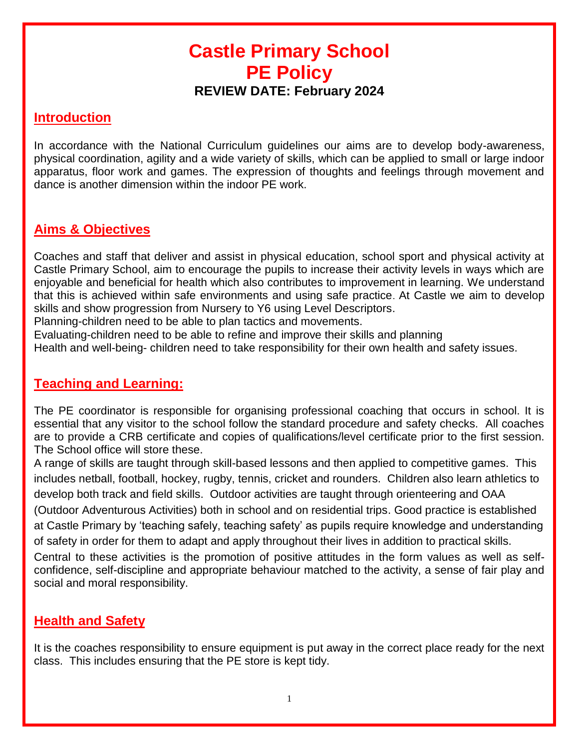# **Castle Primary School PE Policy REVIEW DATE: February 2024**

#### **Introduction**

In accordance with the National Curriculum guidelines our aims are to develop body-awareness, physical coordination, agility and a wide variety of skills, which can be applied to small or large indoor apparatus, floor work and games. The expression of thoughts and feelings through movement and dance is another dimension within the indoor PE work.

### **Aims & Objectives**

Coaches and staff that deliver and assist in physical education, school sport and physical activity at Castle Primary School, aim to encourage the pupils to increase their activity levels in ways which are enjoyable and beneficial for health which also contributes to improvement in learning. We understand that this is achieved within safe environments and using safe practice. At Castle we aim to develop skills and show progression from Nursery to Y6 using Level Descriptors.

Planning-children need to be able to plan tactics and movements.

Evaluating-children need to be able to refine and improve their skills and planning

Health and well-being- children need to take responsibility for their own health and safety issues.

#### **Teaching and Learning:**

The PE coordinator is responsible for organising professional coaching that occurs in school. It is essential that any visitor to the school follow the standard procedure and safety checks. All coaches are to provide a CRB certificate and copies of qualifications/level certificate prior to the first session. The School office will store these.

A range of skills are taught through skill-based lessons and then applied to competitive games. This includes netball, football, hockey, rugby, tennis, cricket and rounders. Children also learn athletics to develop both track and field skills. Outdoor activities are taught through orienteering and OAA

(Outdoor Adventurous Activities) both in school and on residential trips. Good practice is established at Castle Primary by 'teaching safely, teaching safety' as pupils require knowledge and understanding of safety in order for them to adapt and apply throughout their lives in addition to practical skills.

Central to these activities is the promotion of positive attitudes in the form values as well as selfconfidence, self-discipline and appropriate behaviour matched to the activity, a sense of fair play and social and moral responsibility.

#### **Health and Safety**

It is the coaches responsibility to ensure equipment is put away in the correct place ready for the next class. This includes ensuring that the PE store is kept tidy.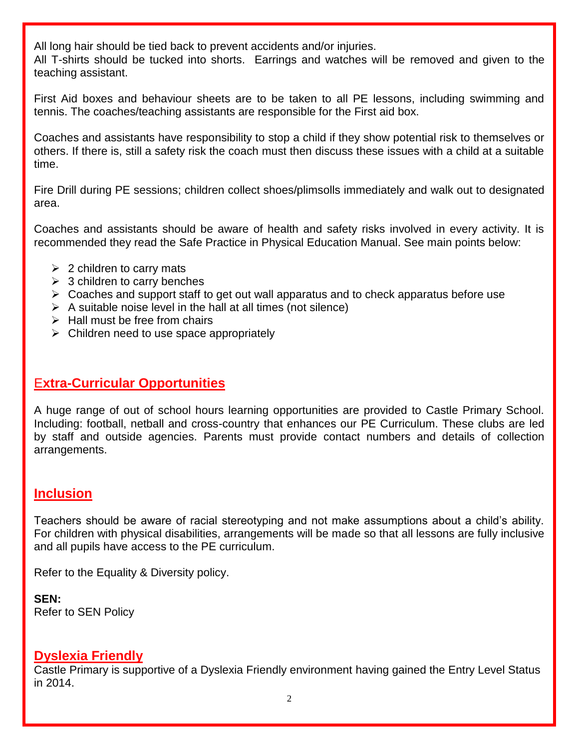All long hair should be tied back to prevent accidents and/or injuries.

All T-shirts should be tucked into shorts. Earrings and watches will be removed and given to the teaching assistant.

First Aid boxes and behaviour sheets are to be taken to all PE lessons, including swimming and tennis. The coaches/teaching assistants are responsible for the First aid box.

Coaches and assistants have responsibility to stop a child if they show potential risk to themselves or others. If there is, still a safety risk the coach must then discuss these issues with a child at a suitable time.

Fire Drill during PE sessions; children collect shoes/plimsolls immediately and walk out to designated area.

Coaches and assistants should be aware of health and safety risks involved in every activity. It is recommended they read the Safe Practice in Physical Education Manual. See main points below:

- $\geq$  2 children to carry mats
- $\geq$  3 children to carry benches
- $\triangleright$  Coaches and support staff to get out wall apparatus and to check apparatus before use
- $\triangleright$  A suitable noise level in the hall at all times (not silence)
- $\triangleright$  Hall must be free from chairs
- $\triangleright$  Children need to use space appropriately

## E**xtra-Curricular Opportunities**

A huge range of out of school hours learning opportunities are provided to Castle Primary School. Including: football, netball and cross-country that enhances our PE Curriculum. These clubs are led by staff and outside agencies. Parents must provide contact numbers and details of collection arrangements.

## **Inclusion**

Teachers should be aware of racial stereotyping and not make assumptions about a child's ability. For children with physical disabilities, arrangements will be made so that all lessons are fully inclusive and all pupils have access to the PE curriculum.

Refer to the Equality & Diversity policy.

**SEN:**  Refer to SEN Policy

#### **Dyslexia Friendly**

Castle Primary is supportive of a Dyslexia Friendly environment having gained the Entry Level Status in 2014.